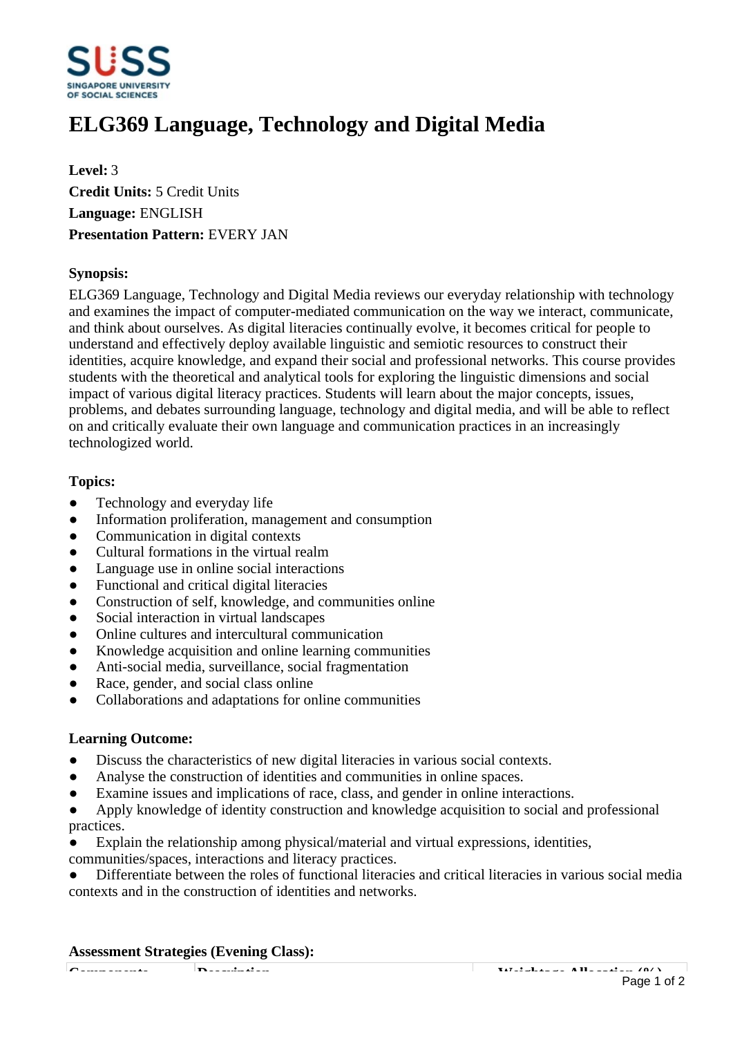

# **ELG369 Language, Technology and Digital Media**

**Level:** 3 **Credit Units:** 5 Credit Units **Language:** ENGLISH **Presentation Pattern:** EVERY JAN

## **Synopsis:**

ELG369 Language, Technology and Digital Media reviews our everyday relationship with technology and examines the impact of computer-mediated communication on the way we interact, communicate, and think about ourselves. As digital literacies continually evolve, it becomes critical for people to understand and effectively deploy available linguistic and semiotic resources to construct their identities, acquire knowledge, and expand their social and professional networks. This course provides students with the theoretical and analytical tools for exploring the linguistic dimensions and social impact of various digital literacy practices. Students will learn about the major concepts, issues, problems, and debates surrounding language, technology and digital media, and will be able to reflect on and critically evaluate their own language and communication practices in an increasingly technologized world.

## **Topics:**

- Technology and everyday life
- Information proliferation, management and consumption
- Communication in digital contexts
- Cultural formations in the virtual realm
- Language use in online social interactions
- Functional and critical digital literacies
- Construction of self, knowledge, and communities online
- Social interaction in virtual landscapes
- Online cultures and intercultural communication
- Knowledge acquisition and online learning communities
- Anti-social media, surveillance, social fragmentation
- Race, gender, and social class online
- ƔCollaborations and adaptations for online communities

### **Learning Outcome:**

- Discuss the characteristics of new digital literacies in various social contexts.
- Analyse the construction of identities and communities in online spaces.
- ƔExamine issues and implications of race, class, and gender in online interactions.
- Apply knowledge of identity construction and knowledge acquisition to social and professional practices.
- Explain the relationship among physical/material and virtual expressions, identities,
- communities/spaces, interactions and literacy practices.

Differentiate between the roles of functional literacies and critical literacies in various social media contexts and in the construction of identities and networks.

### **Assessment Strategies (Evening Class):**

**Components Description Weightage Allocation (%)** Page 1 of 2